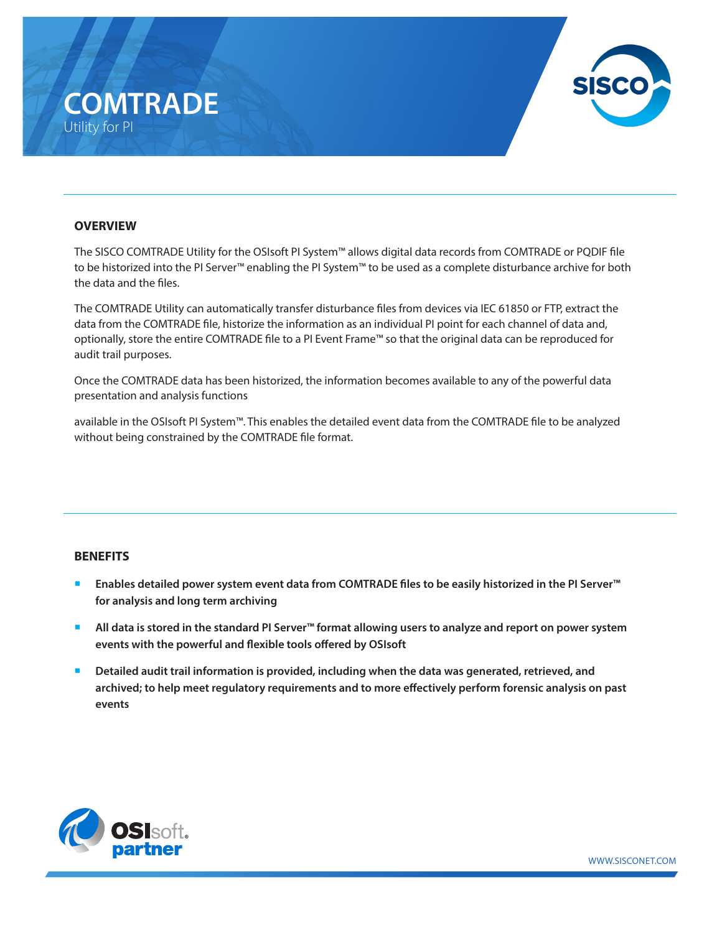# **COMTRADE** Utility for PI



### **OVERVIEW**

The SISCO COMTRADE Utility for the OSIsoft PI System™ allows digital data records from COMTRADE or PQDIF file to be historized into the PI Server™ enabling the PI System™ to be used as a complete disturbance archive for both the data and the files.

The COMTRADE Utility can automatically transfer disturbance files from devices via IEC 61850 or FTP, extract the data from the COMTRADE file, historize the information as an individual PI point for each channel of data and, optionally, store the entire COMTRADE file to a PI Event Frame™ so that the original data can be reproduced for audit trail purposes.

Once the COMTRADE data has been historized, the information becomes available to any of the powerful data presentation and analysis functions

available in the OSIsoft PI System™. This enables the detailed event data from the COMTRADE file to be analyzed without being constrained by the COMTRADE file format.

### **BENEFITS**

- ¡ **Enables detailed power system event data from COMTRADE files to be easily historized in the PI Server™ for analysis and long term archiving**
- ¡ **All data is stored in the standard PI Server™ format allowing users to analyze and report on power system events with the powerful and flexible tools offered by OSIsoft**
- Detailed audit trail information is provided, including when the data was generated, retrieved, and **archived; to help meet regulatory requirements and to more effectively perform forensic analysis on past events**



WWW.SISCONET.COM